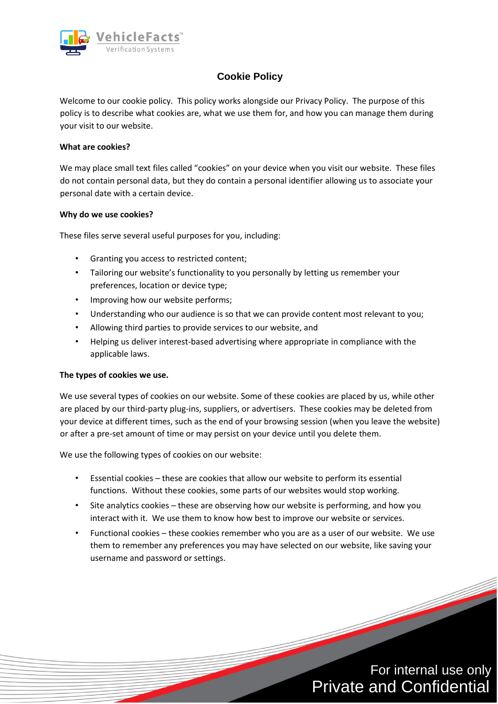

# **Cookie Policy**

Welcome to our cookie policy. This policy works alongside our Privacy Policy. The purpose of this policy is to describe what cookies are, what we use them for, and how you can manage them during your visit to our website.

## **What are cookies?**

We may place small text files called "cookies" on your device when you visit our website. These files do not contain personal data, but they do contain a personal identifier allowing us to associate your personal date with a certain device.

#### **Why do we use cookies?**

These files serve several useful purposes for you, including:

- Granting you access to restricted content;
- Tailoring our website's functionality to you personally by letting us remember your preferences, location or device type;
- Improving how our website performs;
- Understanding who our audience is so that we can provide content most relevant to you;
- Allowing third parties to provide services to our website, and
- Helping us deliver interest-based advertising where appropriate in compliance with the applicable laws.

#### **The types of cookies we use.**

We use several types of cookies on our website. Some of these cookies are placed by us, while other are placed by our third-party plug-ins, suppliers, or advertisers. These cookies may be deleted from your device at different times, such as the end of your browsing session (when you leave the website) or after a pre-set amount of time or may persist on your device until you delete them.

We use the following types of cookies on our website:

- Essential cookies these are cookies that allow our website to perform its essential functions. Without these cookies, some parts of our websites would stop working.
- Site analytics cookies these are observing how our website is performing, and how you interact with it. We use them to know how best to improve our website or services.
- Functional cookies these cookies remember who you are as a user of our website. We use them to remember any preferences you may have selected on our website, like saving your username and password or settings.

For internal use only Private and Confidential